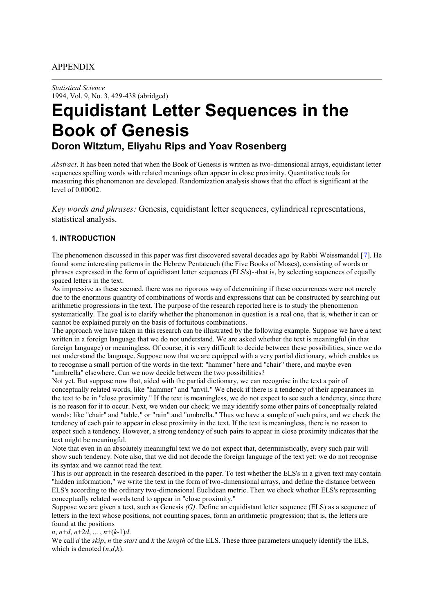# APPENDIX

*Statistical Science* 1994, Vol. 9, No. 3, 429-438 (abridged)

# **Equidistant Letter Sequences in the Book of Genesis Doron Witztum, Eliyahu Rips and Yoav Rosenberg**

*Abstract*. It has been noted that when the Book of Genesis is written as two-dimensional arrays, equidistant letter sequences spelling words with related meanings often appear in close proximity. Quantitative tools for measuring this phenomenon are developed. Randomization analysis shows that the effect is significant at the level of  $0.00002$ .

*Key words and phrases:* Genesis, equidistant letter sequences, cylindrical representations, statistical analysis.

### **1. INTRODUCTION**

The phenomenon discussed in this paper was first discovered several decades ago by Rabbi Weissmandel [7]. He found some interesting patterns in the Hebrew Pentateuch (the Five Books of Moses), consisting of words or phrases expressed in the form of equidistant letter sequences (ELS's)--that is, by selecting sequences of equally spaced letters in the text.

As impressive as these seemed, there was no rigorous way of determining if these occurrences were not merely due to the enormous quantity of combinations of words and expressions that can be constructed by searching out arithmetic progressions in the text. The purpose of the research reported here is to study the phenomenon systematically. The goal is to clarify whether the phenomenon in question is a real one, that is, whether it can or cannot be explained purely on the basis of fortuitous combinations.

The approach we have taken in this research can be illustrated by the following example. Suppose we have a text written in a foreign language that we do not understand. We are asked whether the text is meaningful (in that foreign language) or meaningless. Of course, it is very difficult to decide between these possibilities, since we do not understand the language. Suppose now that we are equipped with a very partial dictionary, which enables us to recognise a small portion of the words in the text: "hammer" here and "chair" there, and maybe even "umbrella" elsewhere. Can we now decide between the two possibilities?

Not yet. But suppose now that, aided with the partial dictionary, we can recognise in the text a pair of conceptually related words, like "hammer" and "anvil." We check if there is a tendency of their appearances in the text to be in "close proximity." If the text is meaningless, we do not expect to see such a tendency, since there is no reason for it to occur. Next, we widen our check; we may identify some other pairs of conceptually related words: like "chair" and "table," or "rain" and "umbrella." Thus we have a sample of such pairs, and we check the tendency of each pair to appear in close proximity in the text. If the text is meaningless, there is no reason to expect such a tendency. However, a strong tendency of such pairs to appear in close proximity indicates that the text might be meaningful.

Note that even in an absolutely meaningful text we do not expect that, deterministically, every such pair will show such tendency. Note also, that we did not decode the foreign language of the text yet: we do not recognise its syntax and we cannot read the text.

This is our approach in the research described in the paper. To test whether the ELS's in a given text may contain "hidden information," we write the text in the form of two-dimensional arrays, and define the distance between ELS's according to the ordinary two-dimensional Euclidean metric. Then we check whether ELS's representing conceptually related words tend to appear in "close proximity."

Suppose we are given a text, such as Genesis *(G)*. Define an equidistant letter sequence (ELS) as a sequence of letters in the text whose positions, not counting spaces, form an arithmetic progression; that is, the letters are found at the positions

*n*, *n*+*d*, *n*+2*d*, ... , *n*+(*k*-1)*d*.

We call *d* the *skip*, *n* the *start* and *k* the *length* of the ELS. These three parameters uniquely identify the ELS, which is denoted  $(n,d,k)$ .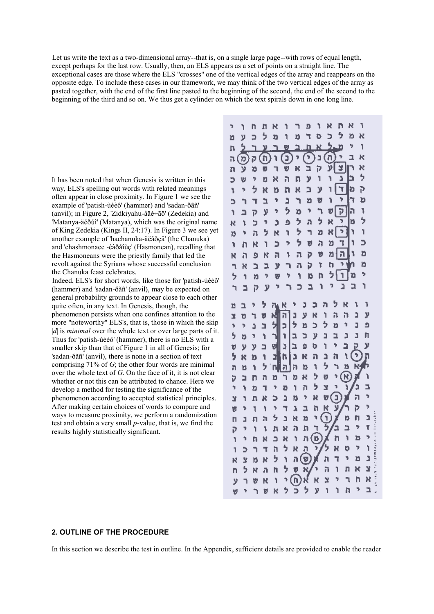Let us write the text as a two-dimensional array--that is, on a single large page--with rows of equal length, except perhaps for the last row. Usually, then, an ELS appears as a set of points on a straight line. The exceptional cases are those where the ELS "crosses" one of the vertical edges of the array and reappears on the opposite edge. To include these cases in our framework, we may think of the two vertical edges of the array as pasted together, with the end of the first line pasted to the beginning of the second, the end of the second to the beginning of the third and so on. We thus get a cylinder on which the text spirals down in one long line.

It has been noted that when Genesis is written in this way, ELS's spelling out words with related meanings often appear in close proximity. In Figure 1 we see the example of 'patish-ùéèô' (hammer) and 'sadan-ðãñ' (anvil); in Figure 2, 'Zidkiyahu-åäé÷ãö' (Zedekia) and 'Matanya-äéðúî' (Matanya), which was the original name of King Zedekia (Kings II, 24:17). In Figure 3 we see yet another example of 'hachanuka-äëåðçä' (the Chanuka) and 'chashmonaee -éàðåîùç' (Hasmonean), recalling that the Hasmoneans were the priestly family that led the revolt against the Syrians whose successful conclusion the Chanuka feast celebrates.

Indeed, ELS's for short words, like those for 'patish-ùéèô' (hammer) and 'sadan-ðãñ' (anvil), may be expected on general probability grounds to appear close to each other quite often, in any text. In Genesis, though, the phenomenon persists when one confines attention to the more "noteworthy" ELS's, that is, those in which the skip |*d*| is *minimal* over the whole text or over large parts of it. Thus for 'patish-ùéèô' (hammer), there is no ELS with a smaller skip than that of Figure 1 in all of Genesis; for 'sadan-ðãñ' (anvil), there is none in a section of text comprising 71% of *G*; the other four words are minimal over the whole text of *G*. On the face of it, it is not clear whether or not this can be attributed to chance. Here we develop a method for testing the significance of the phenomenon according to accepted statistical principles. After making certain choices of words to compare and ways to measure proximity, we perform a randomization test and obtain a very small *p*-value, that is, we find the results highly statistically significant.

| 'n                      | ١      | n      | h  | R         | ٦                       | ٦                                      | Đ  | ١ | ĸ  | ņ  | ĸ                      | ٦  |    |                                  |
|-------------------------|--------|--------|----|-----------|-------------------------|----------------------------------------|----|---|----|----|------------------------|----|----|----------------------------------|
| n                       | y      | Þ      | 5  | b         | ٦                       | ŋ                                      | ٦  | Þ | Þ  | 5  | ð                      | ĸ  |    |                                  |
| h                       | 5      |        | y  |           | Ø,                      |                                        |    | R |    | b  | 5                      |    | ١  |                                  |
| h                       | 'n     | ק      | 'n | ٦         | о                       | P                                      | ٦  | Ľ | a. |    | ı                      | R  |    |                                  |
| n                       | У      | Þ      | ø  | ٦         | v                       | ĸ                                      | Ē  | p | у  |    |                        |    | ĸ  |                                  |
| Þ                       | v      | þ      | ņ  | R         | ñ                       | n                                      | ÿ  | ľ | ١  |    | Ĵ<br>ć                 |    | 5  |                                  |
| ١                       | ŋ.     | 5      | ĸ  | ิซ        | 'n                      | ĸ                                      | Ĕ, | у | ٦  |    | Ŧ<br>b                 |    | P  |                                  |
| ć                       | ٦      | T      | Þ  | Y.        | ă                       | ٦                                      | ð  | V | ٦  |    |                        |    | b  |                                  |
| ١                       | ב      | p      | y  | ,         | 5                       | p                                      | ş. | ٦ | Ø  |    |                        |    | ļ. |                                  |
| R                       | ١      | Þ      | Ť. | þ         | Ò                       | ł,                                     | a  | 5 | ĸ  |    | ٦                      | D  | 5  |                                  |
| Þ                       | 'n     | л      | 5  | ĸ         | ï                       | ゥ                                      | ٦  | ď | ĸ  |    |                        |    | ï  |                                  |
| ١                       | h      | R      | ٦  | Þ         | Þ                       | Ş                                      | Ø  | ā | þ  |    |                        | ١  | C  |                                  |
| K                       | ă      | ø      | R  | ħ         | ١                       | h                                      | Þ  |   | ø  | n  | ħ                      |    | þ  |                                  |
| $\overline{\mathbf{1}}$ | R      | ב      | þ  | y         | ٦                       | д                                      | Þ  |   | ۲  | h  |                        |    | Þ  |                                  |
| 5                       | ١      | ð      | þ  | ø         | Y                       | ٦                                      | 13 |   | h  | ゥ  |                        | ø  | 5  |                                  |
| ٦                       | E      | p      | y  | þ         | ٦                       | Þ                                      | E, |   | ١  | ŋ  | Ľ,                     | Þ  | ١  |                                  |
|                         | E      | Y.     | 5  |           |                         | ľ                                      | þ  | Þ | ħ  | 5  | K                      | ٦  | Y  |                                  |
| n                       |        |        | p  | iy R<br>N | $\overline{\mathbf{a}}$ | d                                      | ÿ  | R | ١  | ħ  | h                      | ă  | y  |                                  |
| Ľ<br>ÿ                  | O<br>þ | ٦<br>J | ב  | ý         | Þ                       | ゥ                                      | p  | Ć | ぅ  | 13 | þ                      | þ  | Đ  |                                  |
| 5                       | b      | ŋ.     | ĭ  | ٦         | J                       | Ę                                      | Þ  | y | þ  | E  | þ                      | ı  | h  |                                  |
| v                       | У      | ÿ      | ב  | 비         | ă                       | h,                                     | Ò  | Þ | ٦  | þ  | E                      |    | y  |                                  |
| 5                       | ĸ      | Þ      | 1  | E,        | h                       | ă                                      | ĸ  | ā | ă  | 'n | ١                      | Þ  | ņ  |                                  |
| ħ                       | b      | ١      | 5  | n         | ă                       | ħ                                      | 13 | ŧ | ゥ  | ٦  | þ                      | R, |    |                                  |
| Þ                       | ב      | 'n     | h  | ŋ         | ካ                       | þ                                      | ĸ  | 5 | Ø  |    | $\widehat{\mathbf{R}}$ |    | ì  |                                  |
| ÿ                       | ٦      | Þ      | ٦  | T         | ō                       | ١                                      | ă  | b | ¥  | þ  | Ī                      | þ  | Z  |                                  |
| ¥                       | ٦      | n      | ĸ  | Þ         | ä                       | ð                                      | ÿ, | N | Đ  | ģ  |                        | ħ  | þ  |                                  |
| Ø                       | ₹      | ٦      | ١  | þ         | ٦                       | À                                      | a  | ħ | Ķ  | y  |                        | Þ  | þ  |                                  |
| n                       | ı      | n      | h  | 5         | ı                       | ×                                      | ŋ  |   | Я  |    | þ                      | h  | E  |                                  |
| P                       | P      | ١      | ٦  | h,        | ĸ                       | ð                                      | n  | ٦ | 3  |    | ב                      | y  | ť  |                                  |
| ĭ                       | ٠      | h      | ĸ  | Þ         | R                       | ١                                      | h  | ß |    | 'n | ĭ                      | b  | ,  |                                  |
| I,                      | Þ      | ٦      | ٦  | ħ         | þ                       | R                                      | ቧ  | þ |    | R  | ņ                      | þ  | ĭ  |                                  |
| ĸ                       | ¥      | ß      | K  | 5         | ١                       | ŋ                                      | Ø  |   | h  | ٦  | Ŧ,                     | n  | ı  | 医病毒性贫血病 计数字 医多种发热器医神经反应 经利用的 医动脉 |
| h                       | 5      | X      | ā  | h         | <sup>5</sup>            |                                        | ĸ  |   | ð  | ٦  | n                      | ĸ  | ¥  |                                  |
| ÿ                       | ٦      | v      | ĸ  | ١         | 1                       | <b>v</b><br>n<br>$\breve{\phantom{0}}$ |    | ĸ | ¥  | þ  | ٦                      | h  | ĸ  |                                  |
|                         |        |        |    |           | ż                       |                                        | 5  |   |    |    |                        |    | ı  |                                  |

#### **2. OUTLINE OF THE PROCEDURE**

In this section we describe the test in outline. In the Appendix, sufficient details are provided to enable the reader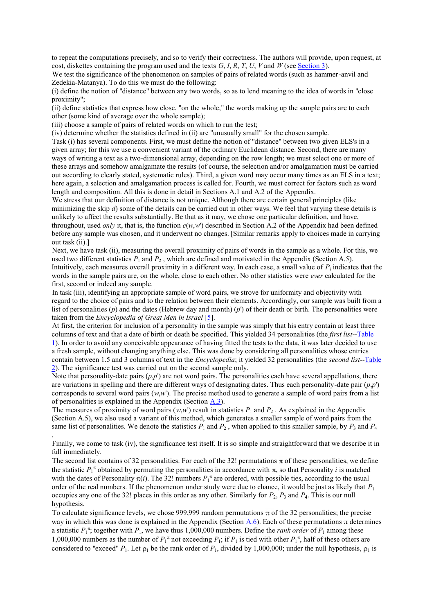to repeat the computations precisely, and so to verify their correctness. The authors will provide, upon request, at cost, diskettes containing the program used and the texts  $G$ ,  $I$ ,  $R$ ,  $T$ ,  $U$ ,  $V$  and  $W$  (see Section 3).

We test the significance of the phenomenon on samples of pairs of related words (such as hammer-anvil and Zedekia-Matanya). To do this we must do the following:

(i) define the notion of "distance" between any two words, so as to lend meaning to the idea of words in "close proximity";

(ii) define statistics that express how close, "on the whole," the words making up the sample pairs are to each other (some kind of average over the whole sample);

(iii) choose a sample of pairs of related words on which to run the test;

.

(iv) determine whether the statistics defined in (ii) are "unusually small" for the chosen sample.

Task (i) has several components. First, we must define the notion of "distance" between two given ELS's in a given array; for this we use a convenient variant of the ordinary Euclidean distance. Second, there are many ways of writing a text as a two-dimensional array, depending on the row length; we must select one or more of these arrays and somehow amalgamate the results (of course, the selection and/or amalgamation must be carried out according to clearly stated, systematic rules). Third, a given word may occur many times as an ELS in a text; here again, a selection and amalgamation process is called for. Fourth, we must correct for factors such as word length and composition. All this is done in detail in Sections A.1 and A.2 of the Appendix.

We stress that our definition of distance is not unique. Although there are certain general principles (like minimizing the skip *d*) some of the details can be carried out in other ways. We feel that varying these details is unlikely to affect the results substantially. Be that as it may, we chose one particular definition, and have, throughout, used *only* it, that is, the function  $c(w, w')$  described in Section A.2 of the Appendix had been defined before any sample was chosen, and it underwent no changes. [Similar remarks apply to choices made in carrying out task (ii).]

Next, we have task (ii), measuring the overall proximity of pairs of words in the sample as a whole. For this, we used two different statistics  $P_1$  and  $P_2$ , which are defined and motivated in the Appendix (Section A.5). Intuitively, each measures overall proximity in a different way. In each case, a small value of  $P_i$  indicates that the words in the sample pairs are, on the whole, close to each other. No other statistics were *ever* calculated for the first, second or indeed any sample.

In task (iii), identifying an appropriate sample of word pairs, we strove for uniformity and objectivity with regard to the choice of pairs and to the relation between their elements. Accordingly, our sample was built from a list of personalities (*p*) and the dates (Hebrew day and month) (*p*') of their death or birth. The personalities were taken from the *Encyclopedia of Great Men in Israel* [5].

At first, the criterion for inclusion of a personality in the sample was simply that his entry contain at least three columns of text and that a date of birth or death be specified. This yielded 34 personalities (the *first list*--Table 1). In order to avoid any conceivable appearance of having fitted the tests to the data, it was later decided to use a fresh sample, without changing anything else. This was done by considering all personalities whose entries contain between 1.5 and 3 columns of text in the *Encyclopedia*; it yielded 32 personalities (the *second list*--Table 2). The significance test was carried out on the second sample only.

Note that personality-date pairs  $(p, p')$  are not word pairs. The personalities each have several appellations, there are variations in spelling and there are different ways of designating dates. Thus each personality-date pair (*p*,*p*') corresponds to several word pairs  $(w, w')$ . The precise method used to generate a sample of word pairs from a list of personalities is explained in the Appendix (Section A.3).

The measures of proximity of word pairs  $(w, w')$  result in statistics  $P_1$  and  $P_2$ . As explained in the Appendix (Section A.5), we also used a variant of this method, which generates a smaller sample of word pairs from the same list of personalities. We denote the statistics  $P_1$  and  $P_2$ , when applied to this smaller sample, by  $P_3$  and  $P_4$ 

Finally, we come to task (iv), the significance test itself. It is so simple and straightforward that we describe it in full immediately.

The second list contains of 32 personalities. For each of the 32! permutations  $\pi$  of these personalities, we define the statistic  $P_1^{\pi}$  obtained by permuting the personalities in accordance with  $\pi$ , so that Personality *i* is matched with the dates of Personality  $\pi(i)$ . The 32! numbers  $P_1^{\pi}$  are ordered, with possible ties, according to the usual order of the real numbers. If the phenomenon under study were due to chance, it would be just as likely that *P*<sup>1</sup> occupies any one of the 32! places in this order as any other. Similarly for  $P_2$ ,  $P_3$  and  $P_4$ . This is our null hypothesis.

To calculate significance levels, we chose 999,999 random permutations  $\pi$  of the 32 personalities; the precise way in which this was done is explained in the Appendix (Section A.6). Each of these permutations  $\pi$  determines a statistic  $P_1^{\pi}$ ; together with  $P_1$ , we have thus 1,000,000 numbers. Define the *rank order* of  $P_1$  among these 1,000,000 numbers as the number of  $P_1^{\pi}$  not exceeding  $P_1$ ; if  $P_1$  is tied with other  $P_1^{\pi}$ , half of these others are considered to "exceed"  $P_1$ . Let  $\rho_1$  be the rank order of  $P_1$ , divided by 1,000,000; under the null hypothesis,  $\rho_1$  is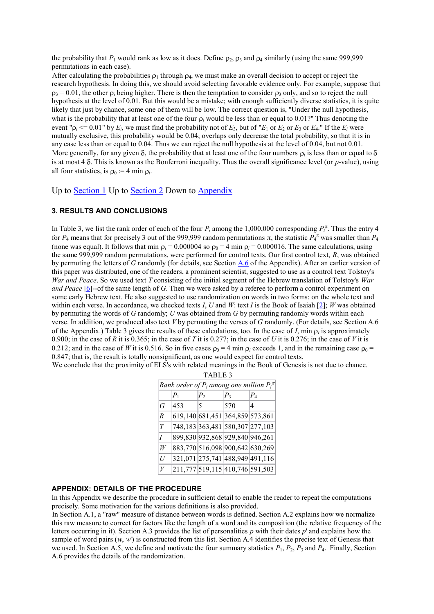the probability that  $P_1$  would rank as low as it does. Define  $\rho_2$ ,  $\rho_3$  and  $\rho_4$  similarly (using the same 999,999 permutations in each case).

After calculating the probabilities  $\rho_1$  through  $\rho_4$ , we must make an overall decision to accept or reject the research hypothesis. In doing this, we should avoid selecting favorable evidence only. For example, suppose that  $\beta_3 = 0.01$ , the other  $\beta_i$  being higher. There is then the temptation to consider  $\beta_3$  only, and so to reject the null hypothesis at the level of 0.01. But this would be a mistake; with enough sufficiently diverse statistics, it is quite likely that just by chance, some one of them will be low. The correct question is, "Under the null hypothesis, what is the probability that at least one of the four  $\rho_i$  would be less than or equal to 0.01?" Thus denoting the event " $\rho_i \leq 0.01$ " by  $E_i$ , we must find the probability not of  $E_3$ , but of " $E_1$  or  $E_2$  or  $E_3$  or  $E_4$ ." If the  $E_i$  were mutually exclusive, this probability would be 0.04; overlaps only decrease the total probability, so that it is in any case less than or equal to 0.04. Thus we can reject the null hypothesis at the level of 0.04, but not 0.01. More generally, for any given  $\delta$ , the probability that at least one of the four numbers  $\rho_i$  is less than or equal to is at most  $4 \delta$ . This is known as the Bonferroni inequality. Thus the overall significance level (or *p*-value), using all four statistics, is  $\rho_0 := 4 \min \rho_i$ .

Up to Section 1 Up to Section 2 Down to Appendix

#### **3. RESULTS AND CONCLUSIONS**

In Table 3, we list the rank order of each of the four  $P_i$  among the 1,000,000 corresponding  $P_i^{\pi}$ . Thus the entry 4 for  $P_4$  means that for precisely 3 out of the 999,999 random permutations  $\pi$ , the statistic  $P_4^{\pi}$  was smaller than  $P_4$ (none was equal). It follows that min  $\rho_i = 0.000004$  so  $\rho_0 = 4$  min  $\rho_i = 0.000016$ . The same calculations, using the same 999,999 random permutations, were performed for control texts. Our first control text, *R*, was obtained by permuting the letters of *G* randomly (for details, see Section A.6 of the Appendix). After an earlier version of this paper was distributed, one of the readers, a prominent scientist, suggested to use as a control text Tolstoy's *War and Peace*. So we used text *T* consisting of the initial segment of the Hebrew translation of Tolstoy's *War and Peace* [6]--of the same length of *G*. Then we were asked by a referee to perform a control experiment on some early Hebrew text. He also suggested to use randomization on words in two forms: on the whole text and within each verse. In accordance, we checked texts *I*, *U* and *W*: text *I* is the Book of Isaiah [2]; *W* was obtained by permuting the words of *G* randomly; *U* was obtained from *G* by permuting randomly words within each verse. In addition, we produced also text *V* by permuting the verses of *G* randomly. (For details, see Section A.6 of the Appendix.) Table 3 gives the results of these calculations, too. In the case of  $I$ , min  $\rho_i$  is approximately 0.900; in the case of *R* it is 0.365; in the case of *T* it is 0.277; in the case of *U* it is 0.276; in the case of *V* it is 0.212; and in the case of *W* it is 0.516. So in five cases  $\rho_0 = 4$  min  $\rho_i$  exceeds 1, and in the remaining case  $\rho_0 =$ 0.847; that is, the result is totally nonsignificant, as one would expect for control texts.

| We conclude that the proximity of ELS's with related meanings in the Book of Genesis is not due to chance. |  |  |  |
|------------------------------------------------------------------------------------------------------------|--|--|--|
|------------------------------------------------------------------------------------------------------------|--|--|--|

TABLE 3

|                | Rank order of $P_i$ among one million $P_i^{\pi}$ |                                 |       |       |  |  |  |  |
|----------------|---------------------------------------------------|---------------------------------|-------|-------|--|--|--|--|
|                | $P_{1}$                                           | P <sub>2</sub>                  | $P_3$ | $P_4$ |  |  |  |  |
| G              | 453                                               | 5                               | 570   | 4     |  |  |  |  |
| $\overline{R}$ | 619,140 681,451 364,859 573,861                   |                                 |       |       |  |  |  |  |
| $\tau$         | 748,183 363,481 580,307 277,103                   |                                 |       |       |  |  |  |  |
| $\overline{I}$ |                                                   | 899,830 932,868 929,840 946,261 |       |       |  |  |  |  |
| W              | 883,770 516,098 900,642 630,269                   |                                 |       |       |  |  |  |  |
| U              | 321,071 275,741 488,949 491,116                   |                                 |       |       |  |  |  |  |
| V              |                                                   | 211,777 519,115 410,746 591,503 |       |       |  |  |  |  |

#### **APPENDIX: DETAILS OF THE PROCEDURE**

In this Appendix we describe the procedure in sufficient detail to enable the reader to repeat the computations precisely. Some motivation for the various definitions is also provided.

In Section A.1, a "raw" measure of distance between words is defined. Section A.2 explains how we normalize this raw measure to correct for factors like the length of a word and its composition (the relative frequency of the letters occurring in it). Section A.3 provides the list of personalities *p* with their dates *p*' and explains how the sample of word pairs (*w*, *w*') is constructed from this list. Section A.4 identifies the precise text of Genesis that we used. In Section A.5, we define and motivate the four summary statistics  $P_1$ ,  $P_2$ ,  $P_3$  and  $P_4$ . Finally, Section A.6 provides the details of the randomization.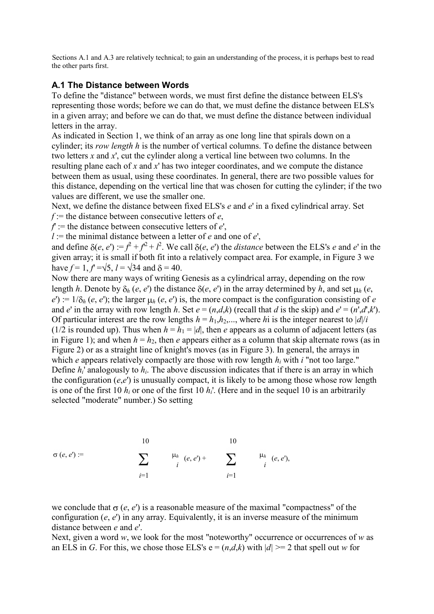Sections A.1 and A.3 are relatively technical; to gain an understanding of the process, it is perhaps best to read the other parts first.

## **A.1 The Distance between Words**

To define the "distance" between words, we must first define the distance between ELS's representing those words; before we can do that, we must define the distance between ELS's in a given array; and before we can do that, we must define the distance between individual letters in the array.

As indicated in Section 1, we think of an array as one long line that spirals down on a cylinder; its *row length h* is the number of vertical columns. To define the distance between two letters *x* and *x*', cut the cylinder along a vertical line between two columns. In the resulting plane each of *x* and *x*' has two integer coordinates, and we compute the distance between them as usual, using these coordinates. In general, there are two possible values for this distance, depending on the vertical line that was chosen for cutting the cylinder; if the two values are different, we use the smaller one.

Next, we define the distance between fixed ELS's *e* and *e*' in a fixed cylindrical array. Set

*f* := the distance between consecutive letters of *e*,

 $f$  := the distance between consecutive letters of  $e'$ ,

 $l :=$  the minimal distance between a letter of *e* and one of *e*',

and define  $\delta(e, e') := f^2 + f^2 + f^2$ . We call  $\delta(e, e')$  the *distance* between the ELS's *e* and *e'* in the given array; it is small if both fit into a relatively compact area. For example, in Figure 3 we have  $f = 1$ ,  $f = \sqrt{5}$ ,  $l = \sqrt{34}$  and  $\delta = 40$ .

Now there are many ways of writing Genesis as a cylindrical array, depending on the row length *h*. Denote by  $\delta_h$  (*e*, *e*') the distance  $\delta(e, e')$  in the array determined by *h*, and set  $\mu_h$  (*e*,  $e'$ ) :=  $1/\delta_h$  (*e*, *e'*); the larger  $\mu_h$  (*e*, *e'*) is, the more compact is the configuration consisting of *e* and *e*' in the array with row length *h*. Set  $e = (n,d,k)$  (recall that *d* is the skip) and  $e' = (n',d',k')$ . Of particular interest are the row lengths  $h = h_1, h_2, \dots$ , where *h*i is the integer nearest to  $|d|/i$ (1/2 is rounded up). Thus when  $h = h_1 = |d|$ , then *e* appears as a column of adjacent letters (as in Figure 1); and when  $h = h_2$ , then *e* appears either as a column that skip alternate rows (as in Figure 2) or as a straight line of knight's moves (as in Figure 3). In general, the arrays in which *e* appears relatively compactly are those with row length  $h_i$  with *i* "not too large." Define  $h_i$  analogously to  $h_i$ . The above discussion indicates that if there is an array in which the configuration  $(e,e')$  is unusually compact, it is likely to be among those whose row length is one of the first 10  $h_i$  or one of the first 10  $h_i$ <sup>'</sup>. (Here and in the sequel 10 is an arbitrarily selected "moderate" number.) So setting

$$
\sigma(e, e') := \sum_{i=1}^{10} \qquad \mu_h \quad (e, e') + \sum_{i=1}^{10} \qquad \mu_h \quad (e, e'),
$$

we conclude that  $\sigma$  (*e*, *e*') is a reasonable measure of the maximal "compactness" of the configuration  $(e, e')$  in any array. Equivalently, it is an inverse measure of the minimum distance between *e* and *e*'.

Next, given a word *w*, we look for the most "noteworthy" occurrence or occurrences of *w* as an ELS in *G*. For this, we chose those ELS's  $e = (n,d,k)$  with  $|d| \ge 2$  that spell out *w* for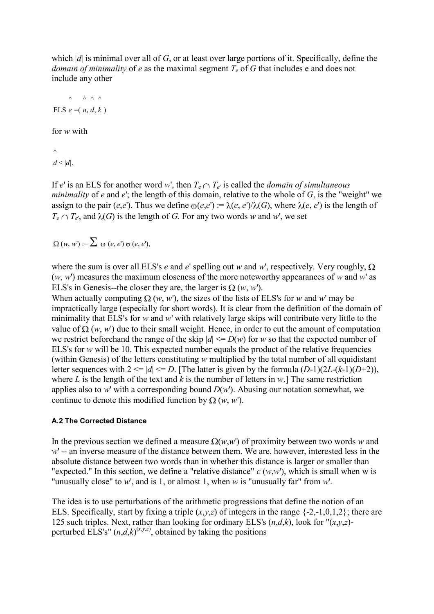which |*d*| is minimal over all of *G*, or at least over large portions of it. Specifically, define the *domain of minimality* of *e* as the maximal segment  $T_e$  of *G* that includes e and does not include any other

$$
\wedge \wedge \wedge \wedge
$$
  
ELS  $e = (n, d, k)$ 

for *w* with

 $\land$  $d < |d|$ .

If *e'* is an ELS for another word *w'*, then  $T_e \cap T_e$  is called the *domain of simultaneous minimality* of *e* and *e*'; the length of this domain, relative to the whole of *G*, is the "weight" we assign to the pair (*e*,*e*'). Thus we define  $\omega(e,e') := \lambda(e,e')/\lambda(G)$ , where  $\lambda(e,e')$  is the length of  $T_e \cap T_e$ , and  $\lambda(G)$  is the length of *G*. For any two words *w* and *w*', we set

 $\Omega(w, w') = \sum \omega(e, e') \sigma(e, e'),$ 

where the sum is over all ELS's *e* and *e*' spelling out *w* and *w*', respectively. Very roughly,  $\Omega$ (*w*, *w*') measures the maximum closeness of the more noteworthy appearances of *w* and *w*' as ELS's in Genesis--the closer they are, the larger is  $\Omega(w, w)$ .

When actually computing  $\Omega$  (*w*, *w*'), the sizes of the lists of ELS's for *w* and *w*' may be impractically large (especially for short words). It is clear from the definition of the domain of minimality that ELS's for *w* and *w*' with relatively large skips will contribute very little to the value of  $\Omega$  (*w*, *w*') due to their small weight. Hence, in order to cut the amount of computation we restrict beforehand the range of the skip  $|d| \leq D(w)$  for *w* so that the expected number of ELS's for *w* will be 10. This expected number equals the product of the relative frequencies (within Genesis) of the letters constituting *w* multiplied by the total number of all equidistant letter sequences with  $2 \le |d| \le D$ . [The latter is given by the formula  $(D-1)(2L-(k-1)(D+2))$ , where *L* is the length of the text and *k* is the number of letters in *w*.] The same restriction applies also to *w*' with a corresponding bound  $D(w)$ . Abusing our notation somewhat, we continue to denote this modified function by  $\Omega(w, w)$ .

## **A.2 The Corrected Distance**

In the previous section we defined a measure  $\Omega(w,w)$  of proximity between two words *w* and *w*' -- an inverse measure of the distance between them. We are, however, interested less in the absolute distance between two words than in whether this distance is larger or smaller than "expected." In this section, we define a "relative distance"  $c(w,w)$ , which is small when w is "unusually close" to *w*', and is 1, or almost 1, when *w* is "unusually far" from *w*'.

The idea is to use perturbations of the arithmetic progressions that define the notion of an ELS. Specifically, start by fixing a triple  $(x,y,z)$  of integers in the range  $\{-2,-1,0,1,2\}$ ; there are 125 such triples. Next, rather than looking for ordinary ELS's  $(n,d,k)$ , look for " $(x,y,z)$ perturbed ELS's"  $(n,d,k)$ <sup>(x,y,z)</sup>, obtained by taking the positions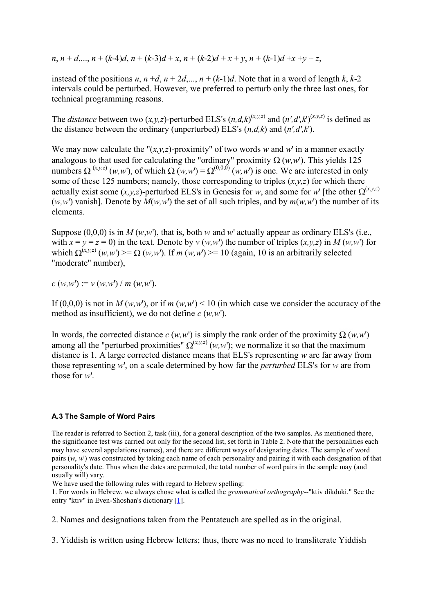$n, n+d,..., n+(k-4)d, n+(k-3)d+x, n+(k-2)d+x+y, n+(k-1)d+x+y+z,$ 

instead of the positions  $n, n+d, n+2d, ..., n+(k-1)d$ . Note that in a word of length  $k, k-2$ intervals could be perturbed. However, we preferred to perturb only the three last ones, for technical programming reasons.

The *distance* between two  $(x, y, z)$ -perturbed ELS's  $(n, d, k)$ <sup> $(x, y, z)$ </sup> and  $(n', d', k')$  $(x, y, z)$  is defined as the distance between the ordinary (unperturbed) ELS's (*n,d,k*) and (*n',d',k*').

We may now calculate the " $(x, y, z)$ -proximity" of two words *w* and *w*' in a manner exactly analogous to that used for calculating the "ordinary" proximity  $\Omega(w,w')$ . This yields 125 numbers  $\Omega^{(x,y,z)}(w,w')$ , of which  $\Omega(w,w') = \Omega^{(0,0,0)}(w,w')$  is one. We are interested in only some of these 125 numbers; namely, those corresponding to triples  $(x, y, z)$  for which there actually exist some  $(x, y, z)$ -perturbed ELS's in Genesis for *w*, and some for *w*' [the other  $\Omega^{(x,y,z)}$  $(w, w')$  vanish]. Denote by  $M(w, w')$  the set of all such triples, and by  $m(w, w')$  the number of its elements.

Suppose  $(0,0,0)$  is in *M* (*w*,*w*'), that is, both *w* and *w*' actually appear as ordinary ELS's (i.e., with  $x = y = z = 0$ ) in the text. Denote by  $v(w, w')$  the number of triples  $(x, y, z)$  in  $M(w, w')$  for which  $\Omega^{(x,y,z)}(w,w') \geq \Omega(w,w')$ . If *m*  $(w,w') \geq 10$  (again, 10 is an arbitrarily selected "moderate" number),

 $c(w, w') := v(w, w') / m(w, w')$ .

If  $(0,0,0)$  is not in *M* (*w,w*'), or if *m* (*w,w*') < 10 (in which case we consider the accuracy of the method as insufficient), we do not define *c* (*w,w*').

In words, the corrected distance  $c(w, w')$  is simply the rank order of the proximity  $\Omega(w, w')$ among all the "perturbed proximities"  $\Omega^{(x,y,z)}(w,w)$ ; we normalize it so that the maximum distance is 1. A large corrected distance means that ELS's representing *w* are far away from those representing *w*', on a scale determined by how far the *perturbed* ELS's for *w* are from those for *w*'.

## **A.3 The Sample of Word Pairs**

The reader is referred to Section 2, task (iii), for a general description of the two samples. As mentioned there, the significance test was carried out only for the second list, set forth in Table 2. Note that the personalities each may have several appelations (names), and there are different ways of designating dates. The sample of word pairs (*w*, *w*') was constructed by taking each name of each personality and pairing it with each designation of that personality's date. Thus when the dates are permuted, the total number of word pairs in the sample may (and usually will) vary.

We have used the following rules with regard to Hebrew spelling:

1. For words in Hebrew, we always chose what is called the *grammatical orthography*--"ktiv dikduki." See the entry "ktiv" in Even-Shoshan's dictionary [1].

2. Names and designations taken from the Pentateuch are spelled as in the original.

3. Yiddish is written using Hebrew letters; thus, there was no need to transliterate Yiddish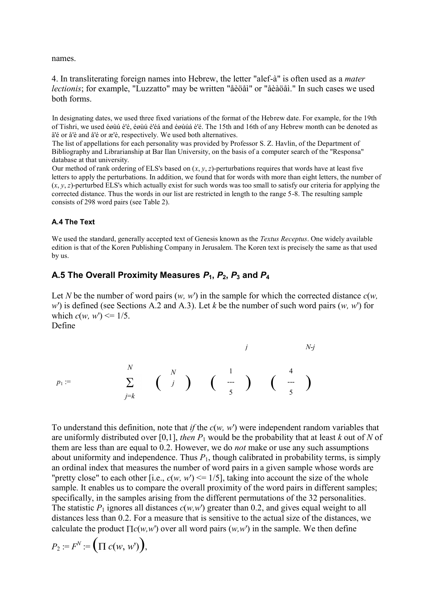names.

4. In transliterating foreign names into Hebrew, the letter "alef-à" is often used as a *mater lectionis*; for example, "Luzzatto" may be written "åèöåì" or "åèàöåì." In such cases we used both forms.

In designating dates, we used three fixed variations of the format of the Hebrew date. For example, for the 19th of Tishri, we used éøùú è'é, éøùú è'éá and éøùúá è'é. The 15th and 16th of any Hebrew month can be denoted as ä'é or å'è and å'é or æ'è, respectively. We used both alternatives.

The list of appellations for each personality was provided by Professor S. Z. Havlin, of the Department of Bibliography and Librarianship at Bar Ilan University, on the basis of a computer search of the "Responsa" database at that university.

Our method of rank ordering of ELS's based on  $(x, y, z)$ -perturbations requires that words have at least five letters to apply the perturbations. In addition, we found that for words with more than eight letters, the number of (*x*, *y*, *z*)-perturbed ELS's which actually exist for such words was too small to satisfy our criteria for applying the corrected distance. Thus the words in our list are restricted in length to the range 5-8. The resulting sample consists of 298 word pairs (see Table 2).

### **A.4 The Text**

We used the standard, generally accepted text of Genesis known as the *Textus Receptus*. One widely available edition is that of the Koren Publishing Company in Jerusalem. The Koren text is precisely the same as that used by us.

# **A.5 The Overall Proximity Measures** *P***1,** *P***2,** *P***<sup>3</sup> and** *P***<sup>4</sup>**

Let *N* be the number of word pairs  $(w, w')$  in the sample for which the corrected distance  $c(w, w')$ *w*') is defined (see Sections A.2 and A.3). Let *k* be the number of such word pairs (*w, w*') for which  $c(w, w') \leq 1/5$ . Define

$$
p_1 := \sum_{j=k}^{N} \left(\begin{array}{c} N \\ j \end{array}\right) \left(\begin{array}{c} 1 \\ \frac{1}{5} \end{array}\right) \left(\begin{array}{c} 4 \\ \frac{1}{5} \end{array}\right)
$$

To understand this definition, note that *if* the *c*(*w, w*') were independent random variables that are uniformly distributed over [0,1], *then*  $P_1$  would be the probability that at least  $k$  out of  $N$  of them are less than are equal to 0.2. However, we do *not* make or use any such assumptions about uniformity and independence. Thus  $P_1$ , though calibrated in probability terms, is simply an ordinal index that measures the number of word pairs in a given sample whose words are "pretty close" to each other [i.e.,  $c(w, w') \le 1/5$ ], taking into account the size of the whole sample. It enables us to compare the overall proximity of the word pairs in different samples; specifically, in the samples arising from the different permutations of the 32 personalities. The statistic  $P_1$  ignores all distances  $c(w, w)$  greater than 0.2, and gives equal weight to all distances less than 0.2. For a measure that is sensitive to the actual size of the distances, we calculate the product  $\prod c(w, w')$  over all word pairs  $(w, w')$  in the sample. We then define

$$
P_2 := F^N := \bigg(\Pi \ c(w, w')\bigg),
$$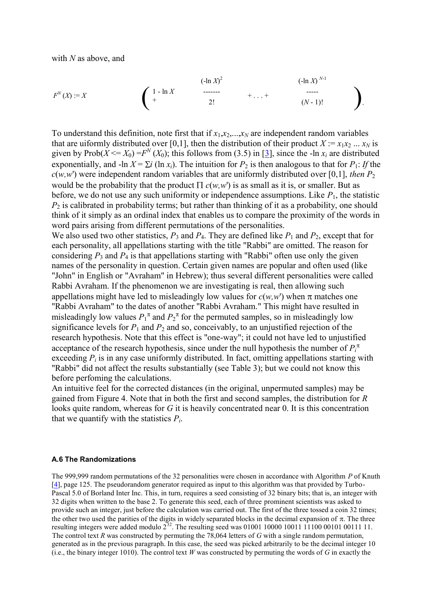with *N* as above, and

$$
F^{N}(X) := X
$$
\n
$$
\begin{pmatrix}\n1 - \ln X & \cdots & \cdots & (-\ln X)^{N-1} \\
+ & 2! & + \cdots & + & \cdots \\
& & & & (N-1)! & \cdots\n\end{pmatrix}.
$$
\n
$$
(2 \ln X)^{N-1}
$$

To understand this definition, note first that if  $x_1, x_2, \ldots, x_N$  are independent random variables that are uiformly distributed over [0,1], then the distribution of their product  $X := x_1 x_2 ... x_N$  is given by Prob( $\dot{X} \leq X_0$ ) =  $F^N(X_0)$ ; this follows from (3.5) in [3], since the -ln  $x_i$  are distributed exponentially, and  $-\ln X = \sum i (\ln x_i)$ . The intuition for  $P_2$  is then analogous to that for  $P_1$ : If the  $c(w, w')$  were independent random variables that are uniformly distributed over [0,1], *then*  $P_2$ would be the probability that the product  $\prod c(w, w')$  is as small as it is, or smaller. But as before, we do not use any such uniformity or independence assumptions. Like  $P_1$ , the statistic  $P_2$  is calibrated in probability terms; but rather than thinking of it as a probability, one should think of it simply as an ordinal index that enables us to compare the proximity of the words in word pairs arising from different permutations of the personalities.

We also used two other statistics,  $P_3$  and  $P_4$ . They are defined like  $P_1$  and  $P_2$ , except that for each personality, all appellations starting with the title "Rabbi" are omitted. The reason for considering  $P_3$  and  $P_4$  is that appellations starting with "Rabbi" often use only the given names of the personality in question. Certain given names are popular and often used (like "John" in English or "Avraham" in Hebrew); thus several different personalities were called Rabbi Avraham. If the phenomenon we are investigating is real, then allowing such appellations might have led to misleadingly low values for  $c(w, w)$  when  $\pi$  matches one "Rabbi Avraham" to the dates of another "Rabbi Avraham." This might have resulted in misleadingly low values  $P_1^{\pi}$  and  $P_2^{\pi}$  for the permuted samples, so in misleadingly low significance levels for  $P_1$  and  $P_2$  and so, conceivably, to an unjustified rejection of the research hypothesis. Note that this effect is "one-way"; it could not have led to unjustified acceptance of the research hypothesis, since under the null hypothesis the number of  $P_i^{\pi}$ exceeding  $P_i$  is in any case uniformly distributed. In fact, omitting appellations starting with "Rabbi" did not affect the results substantially (see Table 3); but we could not know this before perfoming the calculations.

An intuitive feel for the corrected distances (in the original, unpermuted samples) may be gained from Figure 4. Note that in both the first and second samples, the distribution for *R* looks quite random, whereas for *G* it is heavily concentrated near 0. It is this concentration that we quantify with the statistics  $P_i$ .

#### **A.6 The Randomizations**

The 999,999 random permutations of the 32 personalities were chosen in accordance with Algorithm *P* of Knuth [4], page 125. The pseudorandom generator required as input to this algorithm was that provided by Turbo-Pascal 5.0 of Borland Inter Inc. This, in turn, requires a seed consisting of 32 binary bits; that is, an integer with 32 digits when written to the base 2. To generate this seed, each of three prominent scientists was asked to provide such an integer, just before the calculation was carried out. The first of the three tossed a coin 32 times; the other two used the parities of the digits in widely separated blocks in the decimal expansion of  $\pi$ . The three resulting integers were added modulo  $2^{32}$ . The resulting seed was 01001 10000 10011 11100 00101 00111 11. The control text *R* was constructed by permuting the 78,064 letters of *G* with a single random permutation, generated as in the previous paragraph. In this case, the seed was picked arbitrarily to be the decimal integer 10 (i.e., the binary integer 1010). The control text *W* was constructed by permuting the words of *G* in exactly the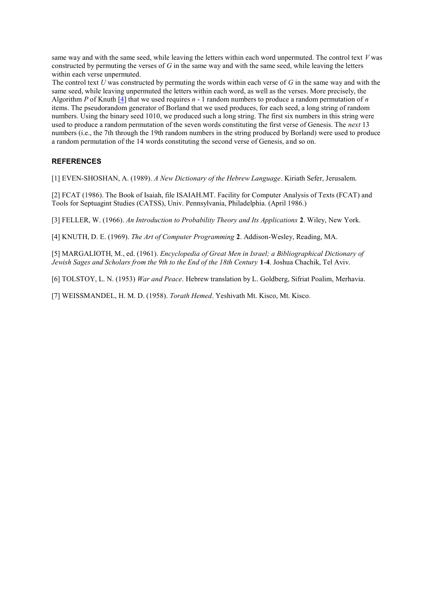same way and with the same seed, while leaving the letters within each word unpermuted. The control text *V* was constructed by permuting the verses of *G* in the same way and with the same seed, while leaving the letters within each verse unpermuted.

The control text *U* was constructed by permuting the words within each verse of *G* in the same way and with the same seed, while leaving unpermuted the letters within each word, as well as the verses. More precisely, the Algorithm *P* of Knuth [4] that we used requires *n* - 1 random numbers to produce a random permutation of *n* items. The pseudorandom generator of Borland that we used produces, for each seed, a long string of random numbers. Using the binary seed 1010, we produced such a long string. The first six numbers in this string were used to produce a random permutation of the seven words constituting the first verse of Genesis. The *next* 13 numbers (i.e., the 7th through the 19th random numbers in the string produced by Borland) were used to produce a random permutation of the 14 words constituting the second verse of Genesis, and so on.

### **REFERENCES**

[1] EVEN-SHOSHAN, A. (1989). *A New Dictionary of the Hebrew Language*. Kiriath Sefer, Jerusalem.

[2] FCAT (1986). The Book of Isaiah, file ISAIAH.MT. Facility for Computer Analysis of Texts (FCAT) and Tools for Septuagint Studies (CATSS), Univ. Pennsylvania, Philadelphia. (April 1986.)

[3] FELLER, W. (1966). *An Introduction to Probability Theory and Its Applications* **2**. Wiley, New York.

[4] KNUTH, D. E. (1969). *The Art of Computer Programming* **2**. Addison-Wesley, Reading, MA.

[5] MARGALIOTH, M., ed. (1961). *Encyclopedia of Great Men in Israel; a Bibliographical Dictionary of Jewish Sages and Scholars from the 9th to the End of the 18th Century* **1**-**4**. Joshua Chachik, Tel Aviv.

[6] TOLSTOY, L. N. (1953) *War and Peace*. Hebrew translation by L. Goldberg, Sifriat Poalim, Merhavia.

[7] WEISSMANDEL, H. M. D. (1958). *Torath Hemed*. Yeshivath Mt. Kisco, Mt. Kisco.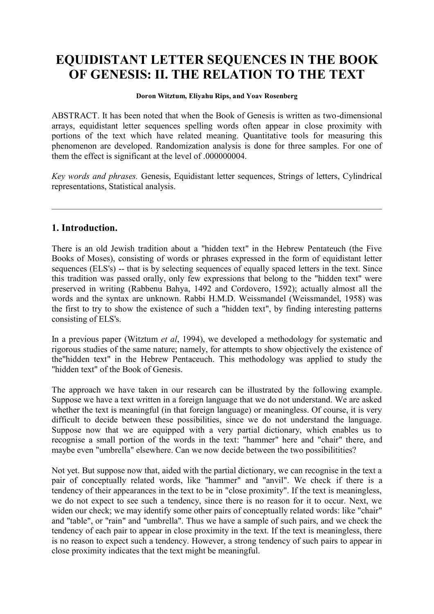# **EQUIDISTANT LETTER SEQUENCES IN THE BOOK OF GENESIS: II. THE RELATION TO THE TEXT**

### **Doron Witztum, Eliyahu Rips, and Yoav Rosenberg**

ABSTRACT. It has been noted that when the Book of Genesis is written as two-dimensional arrays, equidistant letter sequences spelling words often appear in close proximity with portions of the text which have related meaning. Quantitative tools for measuring this phenomenon are developed. Randomization analysis is done for three samples. For one of them the effect is significant at the level of .000000004.

*Key words and phrases.* Genesis, Equidistant letter sequences, Strings of letters, Cylindrical representations, Statistical analysis.

# **1. Introduction.**

There is an old Jewish tradition about a "hidden text" in the Hebrew Pentateuch (the Five Books of Moses), consisting of words or phrases expressed in the form of equidistant letter sequences (ELS's) -- that is by selecting sequences of equally spaced letters in the text. Since this tradition was passed orally, only few expressions that belong to the "hidden text" were preserved in writing (Rabbenu Bahya, 1492 and Cordovero, 1592); actually almost all the words and the syntax are unknown. Rabbi H.M.D. Weissmandel (Weissmandel, 1958) was the first to try to show the existence of such a "hidden text", by finding interesting patterns consisting of ELS's.

In a previous paper (Witztum *et al*, 1994), we developed a methodology for systematic and rigorous studies of the same nature; namely, for attempts to show objectively the existence of the"hidden text" in the Hebrew Pentaceuch. This methodology was applied to study the "hidden text" of the Book of Genesis.

The approach we have taken in our research can be illustrated by the following example. Suppose we have a text written in a foreign language that we do not understand. We are asked whether the text is meaningful (in that foreign language) or meaningless. Of course, it is very difficult to decide between these possibilities, since we do not understand the language. Suppose now that we are equipped with a very partial dictionary, which enables us to recognise a small portion of the words in the text: "hammer" here and "chair" there, and maybe even "umbrella" elsewhere. Can we now decide between the two possibilitities?

Not yet. But suppose now that, aided with the partial dictionary, we can recognise in the text a pair of conceptually related words, like "hammer" and "anvil". We check if there is a tendency of their appearances in the text to be in "close proximity". If the text is meaningless, we do not expect to see such a tendency, since there is no reason for it to occur. Next, we widen our check; we may identify some other pairs of conceptually related words: like "chair" and "table", or "rain" and "umbrella". Thus we have a sample of such pairs, and we check the tendency of each pair to appear in close proximity in the text. If the text is meaningless, there is no reason to expect such a tendency. However, a strong tendency of such pairs to appear in close proximity indicates that the text might be meaningful.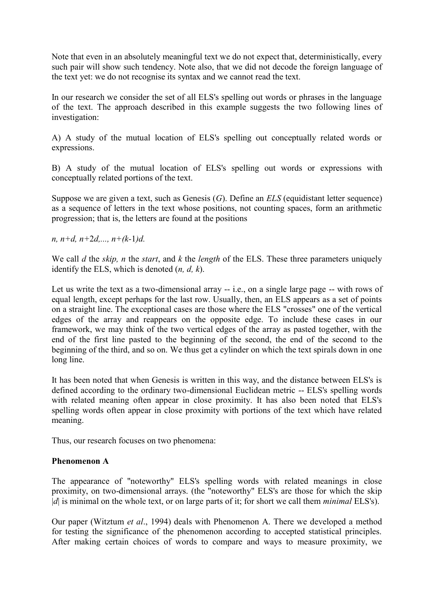Note that even in an absolutely meaningful text we do not expect that, deterministically, every such pair will show such tendency. Note also, that we did not decode the foreign language of the text yet: we do not recognise its syntax and we cannot read the text.

In our research we consider the set of all ELS's spelling out words or phrases in the language of the text. The approach described in this example suggests the two following lines of investigation:

A) A study of the mutual location of ELS's spelling out conceptually related words or expressions.

B) A study of the mutual location of ELS's spelling out words or expressions with conceptually related portions of the text.

Suppose we are given a text, such as Genesis (*G*). Define an *ELS* (equidistant letter sequence) as a sequence of letters in the text whose positions, not counting spaces, form an arithmetic progression; that is, the letters are found at the positions

*n, n+d, n+*2*d,..., n+(k-*1*)d.*

We call *d* the *skip, n* the *start*, and *k* the *length* of the ELS. These three parameters uniquely identify the ELS, which is denoted (*n, d, k*).

Let us write the text as a two-dimensional array -- i.e., on a single large page -- with rows of equal length, except perhaps for the last row. Usually, then, an ELS appears as a set of points on a straight line. The exceptional cases are those where the ELS "crosses" one of the vertical edges of the array and reappears on the opposite edge. To include these cases in our framework, we may think of the two vertical edges of the array as pasted together, with the end of the first line pasted to the beginning of the second, the end of the second to the beginning of the third, and so on. We thus get a cylinder on which the text spirals down in one long line.

It has been noted that when Genesis is written in this way, and the distance between ELS's is defined according to the ordinary two-dimensional Euclidean metric -- ELS's spelling words with related meaning often appear in close proximity. It has also been noted that ELS's spelling words often appear in close proximity with portions of the text which have related meaning.

Thus, our research focuses on two phenomena:

# **Phenomenon A**

The appearance of "noteworthy" ELS's spelling words with related meanings in close proximity, on two-dimensional arrays. (the "noteworthy" ELS's are those for which the skip |*d*| is minimal on the whole text, or on large parts of it; for short we call them *minimal* ELS's).

Our paper (Witztum *et al*., 1994) deals with Phenomenon A. There we developed a method for testing the significance of the phenomenon according to accepted statistical principles. After making certain choices of words to compare and ways to measure proximity, we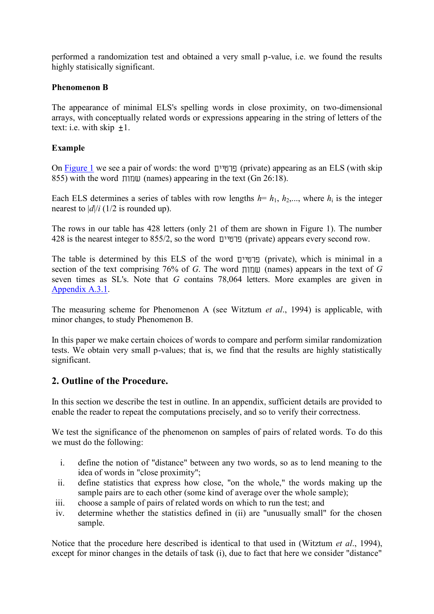performed a randomization test and obtained a very small p-value, i.e. we found the results highly statisically significant.

# **Phenomenon B**

The appearance of minimal ELS's spelling words in close proximity, on two-dimensional arrays, with conceptually related words or expressions appearing in the string of letters of the text: i.e. with skip  $\pm 1$ .

# **Example**

On Figure 1 we see a pair of words: the word (private) appearing as an ELS (with skip 855) with the word  $\pi$  must (names) appearing in the text (Gn 26:18).

Each ELS determines a series of tables with row lengths  $h = h_1, h_2, \ldots$ , where  $h_i$  is the integer nearest to  $|d|/i$  (1/2 is rounded up).

The rows in our table has 428 letters (only 21 of them are shown in Figure 1). The number 428 is the nearest integer to 855/2, so the word (private) appears every second row.

The table is determined by this ELS of the word (private), which is minimal in a section of the text comprising 76% of *G*. The word  $\pi$  (names) appears in the text of *G* seven times as SL's. Note that *G* contains 78,064 letters. More examples are given in Appendix A.3.1.

The measuring scheme for Phenomenon A (see Witztum *et al*., 1994) is applicable, with minor changes, to study Phenomenon B.

In this paper we make certain choices of words to compare and perform similar randomization tests. We obtain very small p-values; that is, we find that the results are highly statistically significant.

# **2. Outline of the Procedure.**

In this section we describe the test in outline. In an appendix, sufficient details are provided to enable the reader to repeat the computations precisely, and so to verify their correctness.

We test the significance of the phenomenon on samples of pairs of related words. To do this we must do the following:

- i. define the notion of "distance" between any two words, so as to lend meaning to the idea of words in "close proximity";
- ii. define statistics that express how close, "on the whole," the words making up the sample pairs are to each other (some kind of average over the whole sample);
- iii. choose a sample of pairs of related words on which to run the test; and
- iv. determine whether the statistics defined in (ii) are "unusually small" for the chosen sample.

Notice that the procedure here described is identical to that used in (Witztum *et al*., 1994), except for minor changes in the details of task (i), due to fact that here we consider "distance"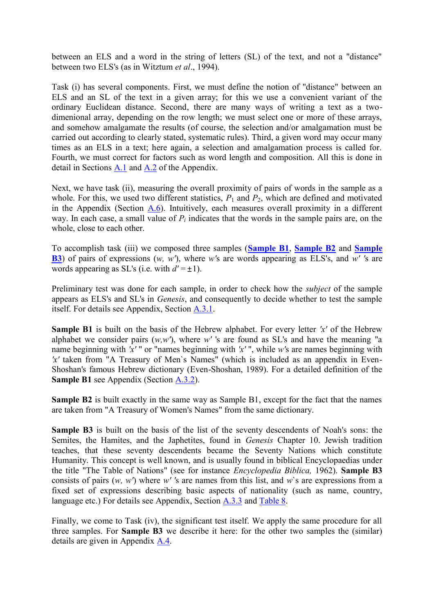between an ELS and a word in the string of letters (SL) of the text, and not a "distance" between two ELS's (as in Witztum *et al*., 1994).

Task (i) has several components. First, we must define the notion of "distance" between an ELS and an SL of the text in a given array; for this we use a convenient variant of the ordinary Euclidean distance. Second, there are many ways of writing a text as a twodimenional array, depending on the row length; we must select one or more of these arrays, and somehow amalgamate the results (of course, the selection and/or amalgamation must be carried out according to clearly stated, systematic rules). Third, a given word may occur many times as an ELS in a text; here again, a selection and amalgamation process is called for. Fourth, we must correct for factors such as word length and composition. All this is done in detail in Sections A.1 and A.2 of the Appendix.

Next, we have task (ii), measuring the overall proximity of pairs of words in the sample as a whole. For this, we used two different statistics,  $P_1$  and  $P_2$ , which are defined and motivated in the Appendix (Section A.6). Intuitively, each measures overall proximity in a different way. In each case, a small value of  $P_i$  indicates that the words in the sample pairs are, on the whole, close to each other.

To accomplish task (iii) we composed three samples (**Sample B1**, **Sample B2** and **Sample B3**) of pairs of expressions (*w, w'*), where *w'*s are words appearing as ELS's, and *w' '*s are words appearing as SL's (i.e. with  $d' = \pm 1$ ).

Preliminary test was done for each sample, in order to check how the *subject* of the sample appears as ELS's and SL's in *Genesis*, and consequently to decide whether to test the sample itself. For details see Appendix, Section A.3.1.

**Sample B1** is built on the basis of the Hebrew alphabet. For every letter *'x'* of the Hebrew alphabet we consider pairs  $(w, w')$ , where w' 's are found as SL's and have the meaning "a name beginning with *'x'* " or "names beginning with *'x'* ", while *w'*s are names beginning with *'x'* taken from "A Treasury of Men`s Names" (which is included as an appendix in Even-Shoshan's famous Hebrew dictionary (Even-Shoshan, 1989). For a detailed definition of the **Sample B1** see Appendix (Section A.3.2).

**Sample B2** is built exactly in the same way as Sample B1, except for the fact that the names are taken from "A Treasury of Women's Names" from the same dictionary.

**Sample B3** is built on the basis of the list of the seventy descendents of Noah's sons: the Semites, the Hamites, and the Japhetites, found in *Genesis* Chapter 10. Jewish tradition teaches, that these seventy descendents became the Seventy Nations which constitute Humanity. This concept is well known, and is usually found in biblical Encyclopaedias under the title "The Table of Nations" (see for instance *Encyclopedia Biblica,* 1962). **Sample B3** consists of pairs (*w, w'*) where *w' '*s are names from this list, and *w*`s are expressions from a fixed set of expressions describing basic aspects of nationality (such as name, country, language etc.) For details see Appendix, Section A.3.3 and Table 8.

Finally, we come to Task (iv), the significant test itself. We apply the same procedure for all three samples. For **Sample B3** we describe it here: for the other two samples the (similar) details are given in Appendix A.4.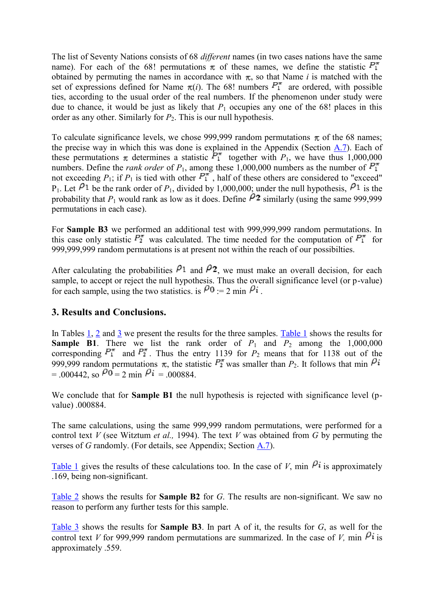The list of Seventy Nations consists of 68 *different* names (in two cases nations have the same name). For each of the 68! permutations  $\pi$  of these names, we define the statistic  $P_1^{\pi}$ obtained by permuting the names in accordance with  $\pi$ , so that Name *i* is matched with the set of expressions defined for Name  $\pi(i)$ . The 68! numbers  $P_1^{\pi}$  are ordered, with possible ties, according to the usual order of the real numbers. If the phenomenon under study were due to chance, it would be just as likely that  $P_1$  occupies any one of the 68! places in this order as any other. Similarly for  $P_2$ . This is our null hypothesis.

To calculate significance levels, we chose 999,999 random permutations  $\pi$  of the 68 names; the precise way in which this was done is explained in the Appendix (Section A.7). Each of these permutations  $\pi$  determines a statistic  $\overline{P_1^{\pi}}$  together with *P*<sub>1</sub>, we have thus 1,000,000 numbers. Define the *rank order* of  $P_1$ , among these 1,000,000 numbers as the number of  $P_1^{\pi}$ not exceeding  $P_1$ ; if  $P_1$  is tied with other  $P_1^{\pi}$ , half of these others are considered to "exceed" P<sub>1</sub>. Let  $\ell$ <sup>1</sup> be the rank order of  $P_1$ , divided by 1,000,000; under the null hypothesis,  $\ell$ <sup>1</sup> is the probability that  $P_1$  would rank as low as it does. Define  $\hat{P}_2$  similarly (using the same 999,999 permutations in each case).

For **Sample B3** we performed an additional test with 999,999,999 random permutations. In this case only statistic  $P_2^{\pi}$  was calculated. The time needed for the computation of  $P_1^{\pi}$  for 999,999,999 random permutations is at present not within the reach of our possibilties.

After calculating the probabilities  $P_1$  and  $P_2$ , we must make an overall decision, for each sample, to accept or reject the null hypothesis. Thus the overall significance level (or p-value) for each sample, using the two statistics. is  $\rho_0 = 2 \text{ min } \rho_i$ .

# **3. Results and Conclusions.**

In Tables 1, 2 and 3 we present the results for the three samples. Table 1 shows the results for **Sample B1**. There we list the rank order of  $P_1$  and  $P_2$  among the 1,000,000 corresponding  $P_1^{\pi}$  and  $P_2^{\pi}$ . Thus the entry 1139 for  $P_2$  means that for 1138 out of the 999,999 random permutations  $\pi$ , the statistic  $P_2^{\pi}$  was smaller than  $P_2$ . It follows that min  $\beta i$  $= 0.00442$  so  $\mu$ <sup>0</sup> = 2 min  $\mu$ <sup>i</sup> = .000884

We conclude that for **Sample B1** the null hypothesis is rejected with significance level (pvalue) .000884.

The same calculations, using the same 999,999 random permutations, were performed for a control text *V* (see Witztum *et al.,* 1994). The text *V* was obtained from *G* by permuting the verses of *G* randomly. (For details, see Appendix; Section A.7).

Table 1 gives the results of these calculations too. In the case of *V*, min  $\beta$ *i* is approximately .169, being non-significant.

Table 2 shows the results for **Sample B2** for *G*. The results are non-significant. We saw no reason to perform any further tests for this sample.

Table 3 shows the results for **Sample B3**. In part A of it, the results for *G*, as well for the control text *V* for 999,999 random permutations are summarized. In the case of *V*, min  $\theta$ **i** is approximately .559.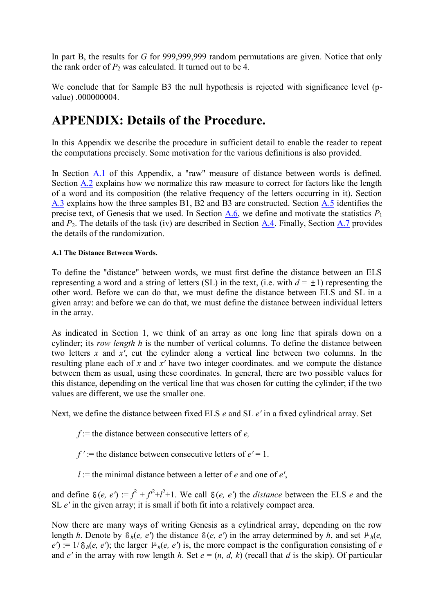In part B, the results for *G* for 999,999,999 random permutations are given. Notice that only the rank order of  $P_2$  was calculated. It turned out to be 4.

We conclude that for Sample B3 the null hypothesis is rejected with significance level (pvalue) .000000004.

# **APPENDIX: Details of the Procedure.**

In this Appendix we describe the procedure in sufficient detail to enable the reader to repeat the computations precisely. Some motivation for the various definitions is also provided.

In Section A.1 of this Appendix, a "raw" measure of distance between words is defined. Section A.2 explains how we normalize this raw measure to correct for factors like the length of a word and its composition (the relative frequency of the letters occurring in it). Section A.3 explains how the three samples B1, B2 and B3 are constructed. Section A.5 identifies the precise text, of Genesis that we used. In Section  $\overline{A_0}$ , we define and motivate the statistics  $P_1$ and *P*2. The details of the task (iv) are described in Section A.4. Finally, Section A.7 provides the details of the randomization.

## **A.1 The Distance Between Words.**

To define the "distance" between words, we must first define the distance between an ELS representing a word and a string of letters (SL) in the text, (i.e. with  $d = \pm 1$ ) representing the other word. Before we can do that, we must define the distance between ELS and SL in a given array: and before we can do that, we must define the distance between individual letters in the array.

As indicated in Section 1, we think of an array as one long line that spirals down on a cylinder; its *row length h* is the number of vertical columns. To define the distance between two letters *x* and *x'*, cut the cylinder along a vertical line between two columns. In the resulting plane each of *x* and *x'* have two integer coordinates. and we compute the distance between them as usual, using these coordinates. In general, there are two possible values for this distance, depending on the vertical line that was chosen for cutting the cylinder; if the two values are different, we use the smaller one.

Next, we define the distance between fixed ELS *e* and SL *e'* in a fixed cylindrical array. Set

*f* := the distance between consecutive letters of *e,*

 $f' :=$  the distance between consecutive letters of  $e' = 1$ .

 $l :=$  the minimal distance between a letter of *e* and one of *e'*,

and define  $\delta(e, e') := f^2 + f^2 + f^2 + 1$ . We call  $\delta(e, e')$  the *distance* between the ELS *e* and the SL *e'* in the given array; it is small if both fit into a relatively compact area.

Now there are many ways of writing Genesis as a cylindrical array, depending on the row length *h*. Denote by  $\delta_h(e, e')$  the distance  $\delta(e, e')$  in the array determined by *h*, and set  $\mu_h(e, e')$  $e'$ ) := 1/ $\delta_h(e, e')$ ; the larger  $\mu_h(e, e')$  is, the more compact is the configuration consisting of *e* and  $e'$  in the array with row length *h*. Set  $e = (n, d, k)$  (recall that *d* is the skip). Of particular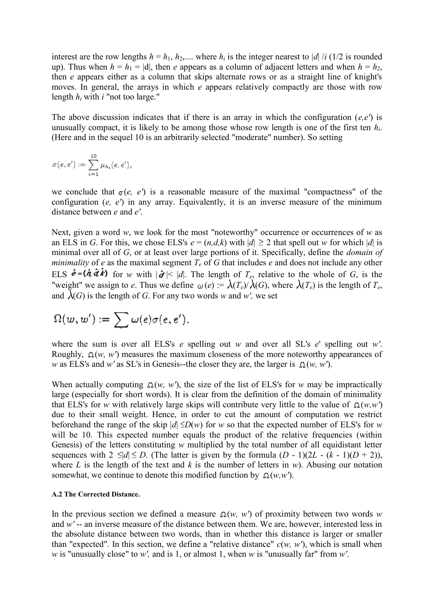interest are the row lengths  $h = h_1, h_2,...$  where  $h_i$  is the integer nearest to |*d*| /*i* (1/2 is rounded up). Thus when  $h = h_1 = |d|$ , then *e* appears as a column of adjacent letters and when  $h = h_2$ , then *e* appears either as a column that skips alternate rows or as a straight line of knight's moves. In general, the arrays in which *e* appears relatively compactly are those with row length *h<sup>i</sup>* with *i* "not too large."

The above discussion indicates that if there is an array in which the configuration (*e,e'*) is unusually compact, it is likely to be among those whose row length is one of the first ten *hi*. (Here and in the sequel 10 is an arbitrarily selected "moderate" number). So setting

$$
\sigma(e,e'):=\sum_{i=1}^{10}\mu_{h_i}(e,e'),
$$

we conclude that  $\sigma(e, e')$  is a reasonable measure of the maximal "compactness" of the configuration (*e, e'*) in any array. Equivalently, it is an inverse measure of the minimum distance between *e* and *e'*.

Next, given a word *w*, we look for the most "noteworthy" occurrence or occurrences of *w* as an ELS in *G*. For this, we chose ELS's  $e = (n,d,k)$  with  $|d| \ge 2$  that spell out *w* for which  $|d|$  is minimal over all of *G*, or at least over large portions of it. Specifically, define the *domain of minimality* of *e* as the maximal segment  $T_e$  of *G* that includes *e* and does not include any other ELS  $\hat{\mathbf{e}} = (\hat{\mathbf{\hat{a}}} \hat{\mathbf{\hat{d}}} \hat{\mathbf{\hat{k}}} )$  for *w* with  $|\hat{\mathbf{\hat{d}}}|\leq |d|$ . The length of  $T_e$ , relative to the whole of *G*, is the "weight" we assign to *e*. Thus we define  $\omega(e) = \lambda(T_e)/\lambda(G)$ , where  $\lambda(T_e)$  is the length of  $T_e$ , and  $\lambda(G)$  is the length of *G*. For any two words *w* and *w'*, we set

$$
\Omega(w,w'):=\sum \omega(e)\sigma(e,e').
$$

where the sum is over all ELS's *e* spelling out *w* and over all SL's *e*' spelling out *w'*. Roughly,  $\Omega(w, w')$  measures the maximum closeness of the more noteworthy appearances of *w* as ELS's and *w'* as SL's in Genesis--the closer they are, the larger is  $\Omega(w, w')$ .

When actually computing  $\Omega(w, w')$ , the size of the list of ELS's for *w* may be impractically large (especially for short words). It is clear from the definition of the domain of minimality that ELS's for *w* with relatively large skips will contribute very little to the value of  $\Omega(w,w')$ due to their small weight. Hence, in order to cut the amount of computation we restrict beforehand the range of the skip  $|d| \le D(w)$  for *w* so that the expected number of ELS's for *w* will be 10. This expected number equals the product of the relative frequencies (within Genesis) of the letters constituting *w* multiplied by the total number of all equidistant letter sequences with  $2 \le |d| \le D$ . (The latter is given by the formula  $(D - 1)(2L - (k - 1)(D + 2))$ ), where *L* is the length of the text and *k* is the number of letters in *w*). Abusing our notation somewhat, we continue to denote this modified function by  $\Omega(w, w')$ .

#### **A.2 The Corrected Distance.**

In the previous section we defined a measure  $\Omega(w, w')$  of proximity between two words w and *w'* -- an inverse measure of the distance between them. We are, however, interested less in the absolute distance between two words, than in whether this distance is larger or smaller than "expected". In this section, we define a "relative distance"  $c(w, w')$ , which is small when *w* is "unusually close" to *w',* and is 1, or almost 1, when *w* is "unusually far" from *w'*.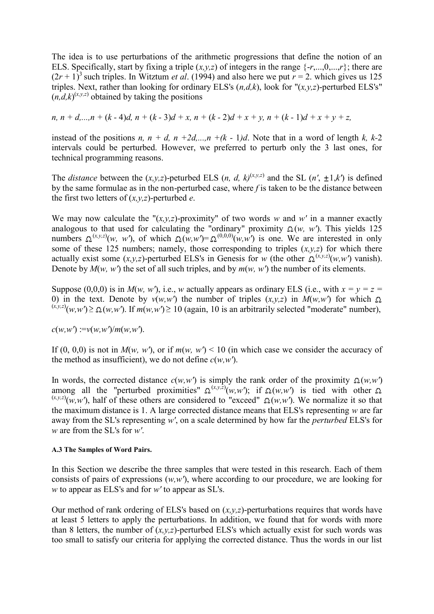The idea is to use perturbations of the arithmetic progressions that define the notion of an ELS. Specifically, start by fixing a triple  $(x, y, z)$  of integers in the range  $\{-r, \ldots, 0, \ldots, r\}$ ; there are  $(2r + 1)^3$  such triples. In Witztum *et al.* (1994) and also here we put  $r = 2$ , which gives us 125 triples. Next, rather than looking for ordinary ELS's (*n,d,k*), look for "(*x,y,z*)-perturbed ELS's"  $(n,d,k)^{(x,y,z)}$  obtained by taking the positions

*n, n* + *d,...,n* + (*k* - 4)*d, n* + (*k* - 3)*d* + *x, n* + (*k* - 2)*d* + *x* + *y, n* + (*k* - 1)*d* + *x* + *y* + *z,* 

instead of the positions *n, n + d, n +2d,...,n +(k - 1)d.* Note that in a word of length *k, k-2* intervals could be perturbed. However, we preferred to perturb only the 3 last ones, for technical programming reasons.

The *distance* between the  $(x, y, z)$ -peturbed ELS  $(n, d, k)^{(x, y, z)}$  and the SL  $(n', \pm 1, k')$  is defined by the same formulae as in the non-perturbed case, where *f* is taken to be the distance between the first two letters of (*x,y,z*)-perturbed *e*.

We may now calculate the " $(x, y, z)$ -proximity" of two words *w* and *w'* in a manner exactly analogous to that used for calculating the "ordinary" proximity  $\Omega(w, w')$ . This yields 125 numbers  $\Omega^{(x,y,z)}(w, w')$ , of which  $\Omega(w,w') = \Omega^{(0,0,0)}(w,w')$  is one. We are interested in only some of these 125 numbers; namely, those corresponding to triples  $(x, y, z)$  for which there actually exist some  $(x, y, z)$ -perturbed ELS's in Genesis for *w* (the other  $\Omega^{(x, y, z)}(w, w')$  vanish). Denote by *M*(*w, w'*) the set of all such triples, and by *m*(*w, w'*) the number of its elements.

Suppose (0,0,0) is in  $M(w, w')$ , i.e., *w* actually appears as ordinary ELS (i.e., with  $x = y = z$ 0) in the text. Denote by  $v(w,w')$  the number of triples  $(x,y,z)$  in  $M(w,w')$  for which  $\Omega$  $(x,y,z)(w,w') \ge \Omega(w,w')$ . If  $m(w,w') \ge 10$  (again, 10 is an arbitrarily selected "moderate" number),

 $c(w, w') := v(w, w')/m(w, w').$ 

If (0, 0,0) is not in  $M(w, w')$ , or if  $m(w, w') < 10$  (in which case we consider the accuracy of the method as insufficient), we do not define  $c(w, w')$ .

In words, the corrected distance  $c(w, w')$  is simply the rank order of the proximity  $\Omega(w, w')$ among all the "perturbed proximities"  $\Omega^{(x,y,z)}(w,w')$ ; if  $\Omega(w,w')$  is tied with other  $(x,y,z)(w,w')$ , half of these others are considered to "exceed"  $\Omega(w,w')$ . We normalize it so that the maximum distance is 1. A large corrected distance means that ELS's representing *w* are far away from the SL's representing *w'*, on a scale determined by how far the *perturbed* ELS's for *w* are from the SL's for *w'*.

### **A.3 The Samples of Word Pairs.**

In this Section we describe the three samples that were tested in this research. Each of them consists of pairs of expressions (*w,w'*), where according to our procedure, we are looking for *w* to appear as ELS's and for *w'* to appear as SL's.

Our method of rank ordering of ELS's based on (*x,y,z*)-perturbations requires that words have at least 5 letters to apply the perturbations. In addition, we found that for words with more than 8 letters, the number of  $(x, y, z)$ -perturbed ELS's which actually exist for such words was too small to satisfy our criteria for applying the corrected distance. Thus the words in our list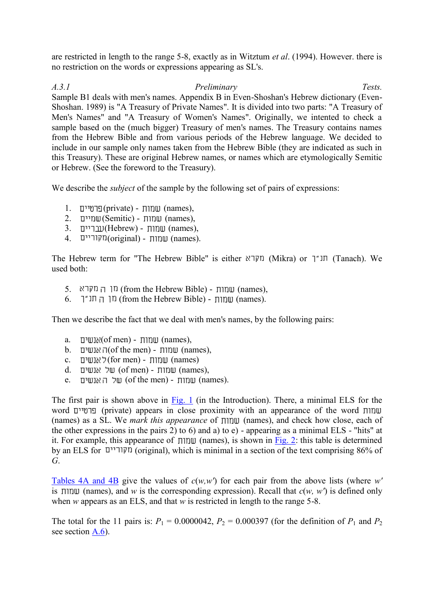are restricted in length to the range 5-8, exactly as in Witztum *et al*. (1994). However. there is no restriction on the words or expressions appearing as SL's.

*A.3.1 Preliminary Tests.* Sample B1 deals with men's names. Appendix B in Even-Shoshan's Hebrew dictionary (Even-Shoshan. 1989) is "A Treasury of Private Names". It is divided into two parts: "A Treasury of Men's Names" and "A Treasury of Women's Names". Originally, we intented to check a sample based on the (much bigger) Treasury of men's names. The Treasury contains names from the Hebrew Bible and from various periods of the Hebrew language. We decided to include in our sample only names taken from the Hebrew Bible (they are indicated as such in this Treasury). These are original Hebrew names, or names which are etymologically Semitic or Hebrew. (See the foreword to the Treasury).

We describe the *subject* of the sample by the following set of pairs of expressions:

- $1.$  (private) שמוח (names),
- $2.$  עמורת (Semitic) שמוים (names),
- $3.$  (Hebrew) שמות (names),
- 4. (original) שמוח (names).

The Hebrew term for "The Hebrew Bible" is either (Mikra) or  $T$ "ת (Tanach). We used both:

- 5. (from the Hebrew Bible) שמוח (names),  $\Box$  (from the Hebrew Bible)  $\Box$
- $6.$  ( $\Box$  T" ו $\Box$  (from the Hebrew Bible) (names).

Then we describe the fact that we deal with men's names, by the following pairs:

- a.  $\Box$ אנשים (of men) שמורת (names),
- $b.$  (of the men)  $\pi$  (names),  $\pi$
- c. (for men) שמות (names)
- $d.$  על אנשים (of men) שמות (names),
- e. שמות (of the men) שמות (names).

The first pair is shown above in Fig. 1 (in the Introduction). There, a minimal ELS for the word (private) appears in close proximity with an appearance of the word (names) as a SL. We *mark this appearance* of  $\pi$  (names), and check how close, each of the other expressions in the pairs 2) to 6) and a) to e) - appearing as a minimal ELS - "hits" at it. For example, this appearance of  $\pi$  (names), is shown in Fig. 2: this table is determined by an ELS for (original), which is minimal in a section of the text comprising 86% of *G*.

Tables 4A and 4B give the values of *c*(*w,w'*) for each pair from the above lists (where *w'* is  $\pi$  (names), and *w* is the corresponding expression). Recall that  $c(w, w')$  is defined only when *w* appears as an ELS, and that *w* is restricted in length to the range 5-8.

The total for the 11 pairs is:  $P_1 = 0.0000042$ ,  $P_2 = 0.000397$  (for the definition of  $P_1$  and  $P_2$ ) see section A.6).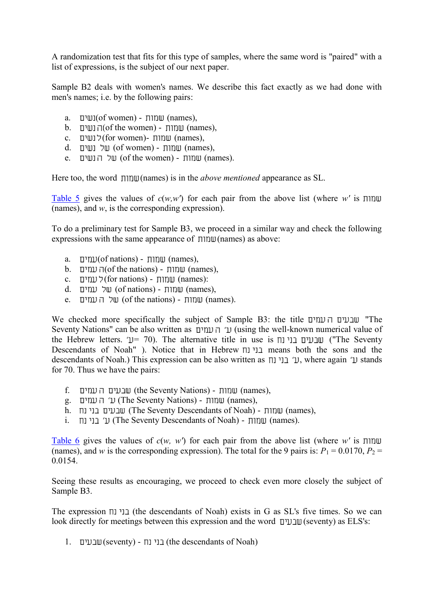A randomization test that fits for this type of samples, where the same word is "paired" with a list of expressions, is the subject of our next paper.

Sample B2 deals with women's names. We describe this fact exactly as we had done with men's names; i.e. by the following pairs:

- a.  $\Box$ ושים (of women) (names),
- $b.$  (of the women)  $\Box$ וחות (names),
- c. (for women)-  $\text{min}$  (names),
- $d.$  ( $\Box$ של (of women) שמות (names),
- e. שמוח (of the women) שמוח (names).

Here too, the word (names) is in the *above mentioned* appearance as SL.

Table 5 gives the values of  $c(w, w')$  for each pair from the above list (where  $w'$  is  $\Pi \Pi \Pi \Pi$ (names), and *w*, is the corresponding expression).

To do a preliminary test for Sample B3, we proceed in a similar way and check the following expressions with the same appearance of  $\pi$ mu(names) as above:

- a.  $\Box$ עמים (of nations) שמוח (names),
- $b.$  עמים (of the nations) העמים (names),
- c. (for nations) לעמים (names):
- $d.$  עמוים (of nations) שמות (names),
- e. של העמים (of the nations) שמוח (names).

We checked more specifically the subject of Sample B3: the title "The Seventy Nations" can be also written as  $\Gamma$  if  $\Gamma$  (using the well-known numerical value of the Hebrew letters.  $U = 70$ ). The alternative title in use is  $\overline{U}$  שבעים בני נח ("The Seventy Descendants of Noah" ). Notice that in Hebrew בני נוח means both the sons and the descendants of Noah.) This expression can be also written as  $\mu$ <sup>t</sup> L, where again 'u stands for 70. Thus we have the pairs:

- f. (the Seventy Nations) שמוח (names), וומוח (names),
- g. (The Seventy Nations) (names),
- h. (The Seventy Descendants of Noah) (names),
- i. (The Seventy Descendants of Noah) (names).

Table 6 gives the values of  $c(w, w')$  for each pair from the above list (where w' is  $\pi w$ (names), and *w* is the corresponding expression). The total for the 9 pairs is:  $P_1 = 0.0170$ ,  $P_2 =$ 0.0154.

Seeing these results as encouraging, we proceed to check even more closely the subject of Sample B3.

The expression  $\Pi$  בני נח (the descendants of Noah) exists in G as SL's five times. So we can look directly for meetings between this expression and the word  $\Box$ שבעים (seventy) as ELS's:

1.  $\Box$   $\Box$  (seventy) -  $\Box$  (the descendants of Noah)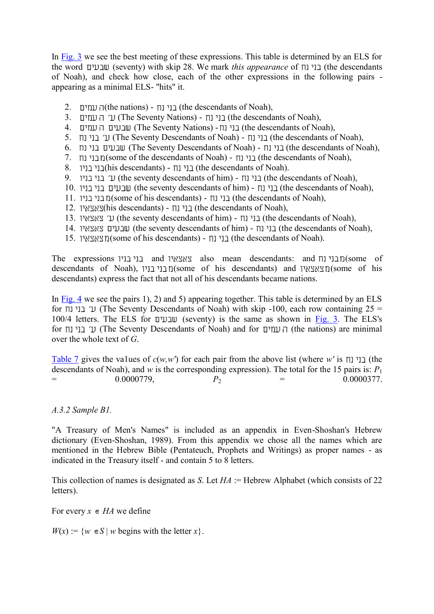In Fig. 3 we see the best meeting of these expressions. This table is determined by an ELS for the word (seventy) with skip 28. We mark *this appearance* of  $\Box$  (the descendants of Noah), and check how close, each of the other expressions in the following pairs appearing as a minimal ELS- "hits" it.

- 2. נוי נח (the nations)  $\Box$  (the descendants of Noah),
- 3. (The Seventy Nations) נוי נח (The Seventy Nations) (the descendants of Noah),
- 4. (The Seventy Nations) בני נח (The Seventy Nations) (the descendants of Noah),
- 5. (The Seventy Descendants of Noah) (the descendants of Noah),
- 6. (The Seventy Descendants of Noah) (the descendants of Noah),
- 7. (some of the descendants of Noah) (the descendants of Noah),
- 8.  $\Box$  (his descendants) [ני נוח (the descendants of Noah).
- 9. (ני בני בני (the seventy descendants of him) [ני נוח (the descendants of Noah),
- 10. (the seventy descendants of him) (the descendants of Noah),
- 11. ני נח (some of his descendants) [ני נח (the descendants of Noah), בני בניו
- 12. ני נח (his descendants) בוי נח (the descendants of Noah),
- 13. ני נח (the seventy descendants of him) בוי נח (the descendants of Noah),
- 14. (the seventy descendants of him) (the descendants of Noah),
- 15. (some of his descendants) (the descendants of Noah).

The expressions  $\Box$ בני בני  $\Box$  and  $\Box$  also mean descendants: and  $\Box$   $\Box$  (some of descendants of Noah), (some of his descendants) and (some of his descendants) express the fact that not all of his descendants became nations.

In Fig. 4 we see the pairs 1), 2) and 5) appearing together. This table is determined by an ELS for  $\Pi$  (The Seventy Descendants of Noah) with skip -100, each row containing 25 = 100/4 letters. The ELS for  $\Box$ ובעים (seventy) is the same as shown in Fig. 3. The ELS's for (The Seventy Descendants of Noah) and for העמים (the nations) are minimal over the whole text of *G*.

Table 7 gives the values of  $c(w, w')$  for each pair from the above list (where *w'* is  $\pi$ )  $\pi$ descendants of Noah), and *w* is the corresponding expression). The total for the 15 pairs is:  $P_1$ <br>= 0.00000779,  $P_2$  = 0.0000377.  $=$  0.0000779,  $P_2$ 

## *A.3.2 Sample B1.*

"A Treasury of Men's Names" is included as an appendix in Even-Shoshan's Hebrew dictionary (Even-Shoshan, 1989). From this appendix we chose all the names which are mentioned in the Hebrew Bible (Pentateuch, Prophets and Writings) as proper names - as indicated in the Treasury itself - and contain 5 to 8 letters.

This collection of names is designated as *S*. Let *HA* := Hebrew Alphabet (which consists of 22 letters).

For every  $x \in HA$  we define

 $W(x) := \{w \in S \mid w \text{ begins with the letter } x\}.$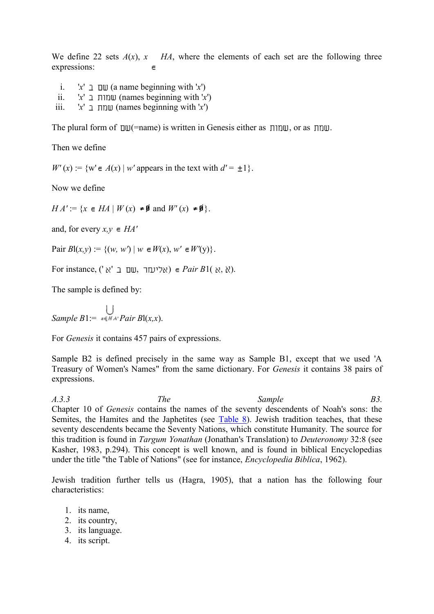We define 22 sets  $A(x)$ ,  $x$  *HA*, where the elements of each set are the following three expressions:  $\epsilon$ 

- i.  $x' \perp \mathbb{U}$  (a name beginning with 'x')
- ii.  $x' \perp \text{min} \cup \text{ (names beginning with } x')$
- iii.  $x' \perp \text{min}$  (names beginning with '*x*')

The plural form of  $\text{D}U$ (=name) is written in Genesis either as  $\text{D}U$ , or as  $\text{D}U$ .

Then we define

 $W'(x) := \{ w' \in A(x) \mid w' \text{ appears in the text with } d' = \pm 1 \}.$ 

Now we define

 $HA' := \{x \in HA \mid W(x) \neq \emptyset \text{ and } W'(x) \neq \emptyset\}.$ 

and, for every  $x, y \in HA'$ 

 $Pair Bl(x, y) := \{(w, w') | w \in W(x), w' \in W'(y)\}.$ 

For instance, (' $\forall$  א ) **e** Pair B1(  $\forall$ ,  $\forall$ ).

The sample is defined by:

*Sample B*1:=  $\bigcup_{x \in H A'}$ *Pair B*l(*x,x*).

For *Genesis* it contains 457 pairs of expressions.

Sample B2 is defined precisely in the same way as Sample B1, except that we used 'A Treasury of Women's Names" from the same dictionary. For *Genesis* it contains 38 pairs of expressions.

*A.3.3 The Sample B3.* Chapter 10 of *Genesis* contains the names of the seventy descendents of Noah's sons: the Semites, the Hamites and the Japhetites (see Table 8). Jewish tradition teaches, that these seventy descendents became the Seventy Nations, which constitute Humanity. The source for this tradition is found in *Targum Yonathan* (Jonathan's Translation) to *Deuteronomy* 32:8 (see Kasher, 1983, p.294). This concept is well known, and is found in biblical Encyclopedias under the title "the Table of Nations" (see for instance, *Encyclopedia Biblica*, 1962).

Jewish tradition further tells us (Hagra, 1905), that a nation has the following four characteristics:

- 1. its name,
- 2. its country,
- 3. its language.
- 4. its script.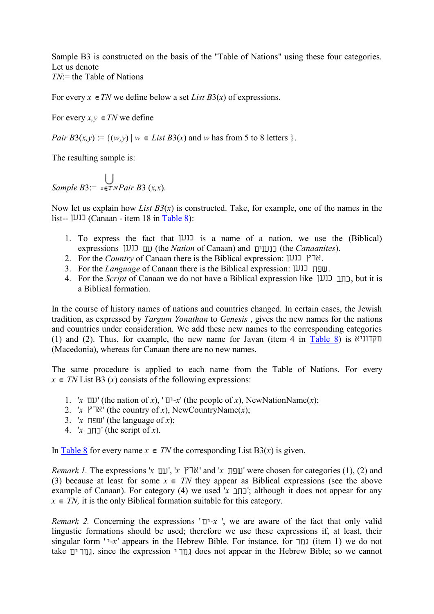Sample B3 is constructed on the basis of the "Table of Nations" using these four categories. Let us denote *TN*:= the Table of Nations

For every  $x \in TN$  we define below a set *List B3(x)* of expressions.

For every  $x, y \in TN$  we define

*Pair B*3(*x,y*) := { $(w,y)$  |  $w \in List B3(x)$  and  $w$  has from 5 to 8 letters }.

The resulting sample is:

*Sample B*3:=  $\bigcup_{\mathbf{p} \in \mathbf{T} \times \mathbf{P} \text{air } B3(x,x)}$ .

Now let us explain how *List B3*(*x*) is constructed. Take, for example, one of the names in the list-- (Canaan - item 18 in Table 8):

- 1. To express the fact that  $|U|$  is a name of a nation, we use the (Biblical) expressions (the *Nation* of Canaan) and (the *Canaanites*).
- 2. For the *Country* of Canaan there is the Biblical expression: ארץ כנען.
- 3. For the *Language* of Canaan there is the Biblical expression: .
- 4. For the *Script* of Canaan we do not have a Biblical expression like , but it is a Biblical formation.

In the course of history names of nations and countries changed. In certain cases, the Jewish tradition, as expressed by *Targum Yonathan* to *Genesis* , gives the new names for the nations and countries under consideration. We add these new names to the corresponding categories (1) and (2). Thus, for example, the new name for Javan (item 4 in Table 8) is (Macedonia), whereas for Canaan there are no new names.

The same procedure is applied to each name from the Table of Nations. For every  $x \in TN$  List B3 (*x*) consists of the following expressions:

- $\alpha$  ' $\alpha$ ' (the nation of *x*), ' $\alpha$ ' (the people of *x*), NewNationName(*x*);
- 2. '*x*  $\forall$  ' (the country of *x*), NewCountryName(*x*);
- 3. 'x  $\Box$  The language of x);
- 4. ' $x \in \text{Int } f(x)$ .' (the script of  $x$ ).

In Table 8 for every name  $x \in TN$  the corresponding List B3(*x*) is given.

*Remark 1*. The expressions '*x*  $\Box$ ', '*x*  $\Box$ ' and '*x*  $\Box$ ' were chosen for categories (1), (2) and (3) because at least for some  $x \in TN$  they appear as Biblical expressions (see the above example of Canaan). For category (4) we used  $x \perp y$ ; although it does not appear for any  $x \in TN$ , it is the only Biblical formation suitable for this category.

 $$ lingustic formations should be used; therefore we use these expressions if, at least, their singular form ' $-x'$  appears in the Hebrew Bible. For instance, for  $\pi$  (item 1) we do not take גמרים, since the expression גמרי does not appear in the Hebrew Bible; so we cannot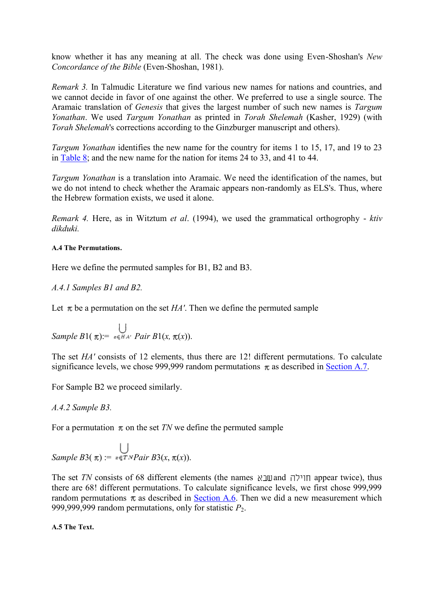know whether it has any meaning at all. The check was done using Even-Shoshan's *New Concordance of the Bible* (Even-Shoshan, 1981).

*Remark 3.* In Talmudic Literature we find various new names for nations and countries, and we cannot decide in favor of one against the other. We preferred to use a single source. The Aramaic translation of *Genesis* that gives the largest number of such new names is *Targum Yonathan*. We used *Targum Yonathan* as printed in *Torah Shelemah* (Kasher, 1929) (with *Torah Shelemah*'s corrections according to the Ginzburger manuscript and others).

*Targum Yonathan* identifies the new name for the country for items 1 to 15, 17, and 19 to 23 in Table 8; and the new name for the nation for items 24 to 33, and 41 to 44.

*Targum Yonathan* is a translation into Aramaic. We need the identification of the names, but we do not intend to check whether the Aramaic appears non-randomly as ELS's. Thus, where the Hebrew formation exists, we used it alone.

*Remark 4.* Here, as in Witztum *et al*. (1994), we used the grammatical orthogrophy - *ktiv dikduki.*

## **A.4 The Permutations.**

Here we define the permuted samples for B1, B2 and B3.

*A.4.1 Samples B1 and B2.*

Let  $\pi$  be a permutation on the set *HA'*. Then we define the permuted sample

$$
Sample B1(\pi) := \bigcup_{x \in HA'} \text{Pair } B1(x, \pi(x)).
$$

The set *HA'* consists of 12 elements, thus there are 12! different permutations. To calculate significance levels, we chose 999,999 random permutations  $\pi$  as described in Section A.7.

For Sample B2 we proceed similarly.

*A.4.2 Sample B3.*

For a permutation  $\pi$  on the set *TN* we define the permuted sample

$$
Sample B3(\pi) := \bigcup_{x \in TNPair B3(x, \pi(x))} Sample B3(\pi(x, \pi(x)))
$$

The set *TN* consists of 68 different elements (the names  $\aleph$ ווילה appear twice), thus there are 68! different permutations. To calculate significance levels, we first chose 999,999 random permutations  $\pi$  as described in Section A.6. Then we did a new measurement which 999,999,999 random permutations, only for statistic *P*<sub>2</sub>.

**A.5 The Text.**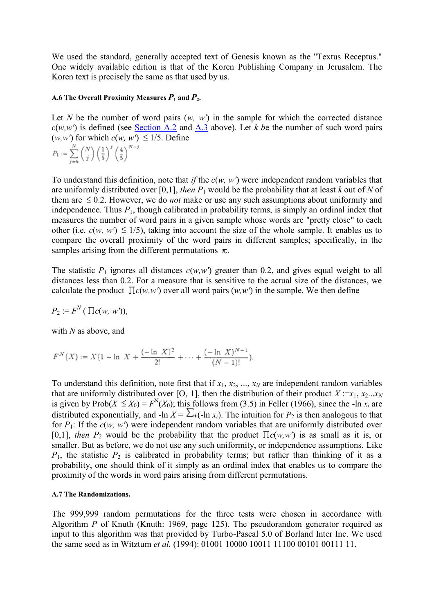We used the standard, generally accepted text of Genesis known as the "Textus Receptus." One widely available edition is that of the Koren Publishing Company in Jerusalem. The Koren text is precisely the same as that used by us.

### **A.6 The Overall Proximity Measures**  $P_1$  **and**  $P_2$ **.**

Let *N* be the number of word pairs  $(w, w')$  in the sample for which the corrected distance  $c(w, w')$  is defined (see Section A.2 and A.3 above). Let *k be* the number of such word pairs  $(w, w')$  for which  $c(w, w') \leq 1/5$ . Define

$$
P_1 := \sum_{j=k}^N \binom{N}{j} \left(\frac{1}{5}\right)^j \left(\frac{4}{5}\right)^{N-j}
$$

To understand this definition, note that *if* the *c*(*w, w'*) were independent random variables that are uniformly distributed over [0,1], *then*  $P_1$  would be the probability that at least  $k$  out of  $N$  of them are  $\leq 0.2$ . However, we do *not* make or use any such assumptions about uniformity and independence. Thus  $P_1$ , though calibrated in probability terms, is simply an ordinal index that measures the number of word pairs in a given sample whose words are "pretty close" to each other (i.e.  $c(w, w') \leq 1/5$ ), taking into account the size of the whole sample. It enables us to compare the overall proximity of the word pairs in different samples; specifically, in the samples arising from the different permutations  $\pi$ .

The statistic  $P_1$  ignores all distances  $c(w, w')$  greater than 0.2, and gives equal weight to all distances less than 0.2. For a measure that is sensitive to the actual size of the distances, we calculate the product  $\prod c(w, w')$  over all word pairs  $(w, w')$  in the sample. We then define

$$
P_2 := F^N \left( \prod c(w, w') \right),
$$

with *N* as above, and

$$
F^{N}(X) := X(1 - \ln X) + \frac{(-\ln X)^{2}}{2!} + \dots + \frac{(-\ln X)^{N-1}}{(N-1)!}.
$$

To understand this definition, note first that if  $x_1, x_2, ..., x_N$  are independent random variables that are uniformly distributed over [O, 1], then the distribution of their product  $X := x_1, x_2...x_N$ is given by Prob $(X \le X_0) = F^N(X_0)$ ; this follows from (3.5) in Feller (1966), since the -ln  $x_i$  are distributed exponentially, and  $-\ln X = \sum_i (-\ln x_i)$ . The intuition for  $P_2$  is then analogous to that for  $P_1$ : If the  $c(w, w')$  were independent random variables that are uniformly distributed over [0,1], *then*  $P_2$  would be the probability that the product  $\prod c(w, w')$  is as small as it is, or smaller. But as before, we do not use any such uniformity, or independence assumptions. Like  $P_1$ , the statistic  $P_2$  is calibrated in probability terms; but rather than thinking of it as a probability, one should think of it simply as an ordinal index that enables us to compare the proximity of the words in word pairs arising from different permutations.

### **A.7 The Randomizations.**

The 999,999 random permutations for the three tests were chosen in accordance with Algorithm *P* of Knuth (Knuth: 1969, page 125). The pseudorandom generator required as input to this algorithm was that provided by Turbo-Pascal 5.0 of Borland Inter Inc. We used the same seed as in Witztum *et al.* (1994): 01001 10000 10011 11100 00101 00111 11.